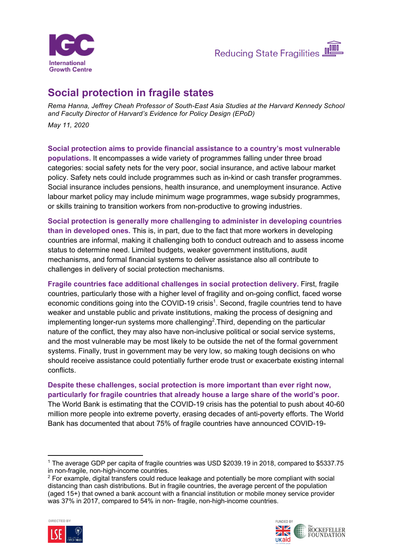



## **Social protection in fragile states**

*Rema Hanna, Jeffrey Cheah Professor of South-East Asia Studies at the Harvard Kennedy School and Faculty Director of Harvard's Evidence for Policy Design (EPoD) May 11, 2020*

**Social protection aims to provide financial assistance to a country's most vulnerable populations.** It encompasses a wide variety of programmes falling under three broad categories: social safety nets for the very poor, social insurance, and active labour market policy. Safety nets could include programmes such as in-kind or cash transfer programmes. Social insurance includes pensions, health insurance, and unemployment insurance. Active labour market policy may include minimum wage programmes, wage subsidy programmes, or skills training to transition workers from non-productive to growing industries.

**Social protection is generally more challenging to administer in developing countries than in developed ones.** This is, in part, due to the fact that more workers in developing countries are informal, making it challenging both to conduct outreach and to assess income status to determine need. Limited budgets, weaker government institutions, audit mechanisms, and formal financial systems to deliver assistance also all contribute to challenges in delivery of social protection mechanisms.

**Fragile countries face additional challenges in social protection delivery.** First, fragile countries, particularly those with a higher level of fragility and on-going conflict, faced worse economic conditions going into the COVID-19 crisis<sup>1</sup>. Second, fragile countries tend to have weaker and unstable public and private institutions, making the process of designing and implementing longer-run systems more challenging<sup>2</sup>. Third, depending on the particular nature of the conflict, they may also have non-inclusive political or social service systems, and the most vulnerable may be most likely to be outside the net of the formal government systems. Finally, trust in government may be very low, so making tough decisions on who should receive assistance could potentially further erode trust or exacerbate existing internal conflicts.

**Despite these challenges, social protection is more important than ever right now, particularly for fragile countries that already house a large share of the world's poor.** The World Bank is estimating that the COVID-19 crisis has the potential to push about 40-60 million more people into extreme poverty, erasing decades of anti-poverty efforts. The World Bank has documented that about 75% of fragile countries have announced COVID-19-

<sup>&</sup>lt;sup>2</sup> For example, digital transfers could reduce leakage and potentially be more compliant with social distancing than cash distributions. But in fragile countries, the average percent of the population (aged 15+) that owned a bank account with a financial institution or mobile money service provider was 37% in 2017, compared to 54% in non- fragile, non-high-income countries.





<sup>1</sup> The average GDP per capita of fragile countries was USD \$2039.19 in 2018, compared to \$5337.75 in non-fragile, non-high-income countries.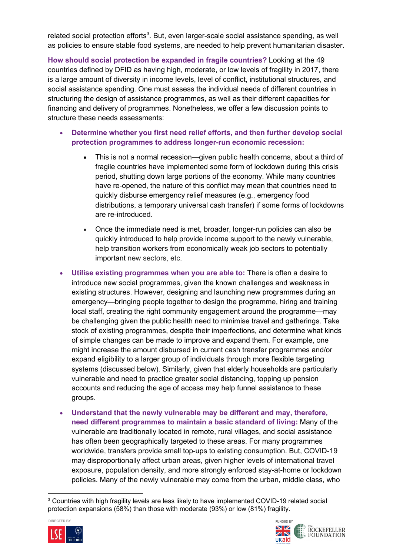related social protection efforts<sup>3</sup>. But, even larger-scale social assistance spending, as well as policies to ensure stable food systems, are needed to help prevent humanitarian disaster.

**How should social protection be expanded in fragile countries?** Looking at the 49 countries defined by DFID as having high, moderate, or low levels of fragility in 2017, there is a large amount of diversity in income levels, level of conflict, institutional structures, and social assistance spending. One must assess the individual needs of different countries in structuring the design of assistance programmes, as well as their different capacities for financing and delivery of programmes. Nonetheless, we offer a few discussion points to structure these needs assessments:

- **Determine whether you first need relief efforts, and then further develop social protection programmes to address longer-run economic recession:**
	- This is not a normal recession—given public health concerns, about a third of fragile countries have implemented some form of lockdown during this crisis period, shutting down large portions of the economy. While many countries have re-opened, the nature of this conflict may mean that countries need to quickly disburse emergency relief measures (e.g., emergency food distributions, a temporary universal cash transfer) if some forms of lockdowns are re-introduced.
	- Once the immediate need is met, broader, longer-run policies can also be quickly introduced to help provide income support to the newly vulnerable, help transition workers from economically weak job sectors to potentially important new sectors, etc.
- **Utilise existing programmes when you are able to:** There is often a desire to introduce new social programmes, given the known challenges and weakness in existing structures. However, designing and launching new programmes during an emergency—bringing people together to design the programme, hiring and training local staff, creating the right community engagement around the programme—may be challenging given the public health need to minimise travel and gatherings. Take stock of existing programmes, despite their imperfections, and determine what kinds of simple changes can be made to improve and expand them. For example, one might increase the amount disbursed in current cash transfer programmes and/or expand eligibility to a larger group of individuals through more flexible targeting systems (discussed below). Similarly, given that elderly households are particularly vulnerable and need to practice greater social distancing, topping up pension accounts and reducing the age of access may help funnel assistance to these groups.
- **Understand that the newly vulnerable may be different and may, therefore, need different programmes to maintain a basic standard of living:** Many of the vulnerable are traditionally located in remote, rural villages, and social assistance has often been geographically targeted to these areas. For many programmes worldwide, transfers provide small top-ups to existing consumption. But, COVID-19 may disproportionally affect urban areas, given higher levels of international travel exposure, population density, and more strongly enforced stay-at-home or lockdown policies. Many of the newly vulnerable may come from the urban, middle class, who

<sup>3</sup> Countries with high fragility levels are less likely to have implemented COVID-19 related social protection expansions (58%) than those with moderate (93%) or low (81%) fragility.



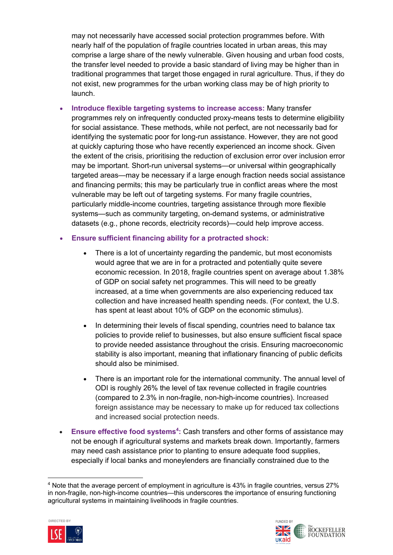may not necessarily have accessed social protection programmes before. With nearly half of the population of fragile countries located in urban areas, this may comprise a large share of the newly vulnerable. Given housing and urban food costs, the transfer level needed to provide a basic standard of living may be higher than in traditional programmes that target those engaged in rural agriculture. Thus, if they do not exist, new programmes for the urban working class may be of high priority to launch.

- **Introduce flexible targeting systems to increase access:** Many transfer programmes rely on infrequently conducted proxy-means tests to determine eligibility for social assistance. These methods, while not perfect, are not necessarily bad for identifying the systematic poor for long-run assistance. However, they are not good at quickly capturing those who have recently experienced an income shock. Given the extent of the crisis, prioritising the reduction of exclusion error over inclusion error may be important. Short-run universal systems—or universal within geographically targeted areas—may be necessary if a large enough fraction needs social assistance and financing permits; this may be particularly true in conflict areas where the most vulnerable may be left out of targeting systems. For many fragile countries, particularly middle-income countries, targeting assistance through more flexible systems—such as community targeting, on-demand systems, or administrative datasets (e.g., phone records, electricity records)—could help improve access.
- **Ensure sufficient financing ability for a protracted shock:**
	- There is a lot of uncertainty regarding the pandemic, but most economists would agree that we are in for a protracted and potentially quite severe economic recession. In 2018, fragile countries spent on average about 1.38% of GDP on social safety net programmes. This will need to be greatly increased, at a time when governments are also experiencing reduced tax collection and have increased health spending needs. (For context, the U.S. has spent at least about 10% of GDP on the economic stimulus).
	- In determining their levels of fiscal spending, countries need to balance tax policies to provide relief to businesses, but also ensure sufficient fiscal space to provide needed assistance throughout the crisis. Ensuring macroeconomic stability is also important, meaning that inflationary financing of public deficits should also be minimised.
	- There is an important role for the international community. The annual level of ODI is roughly 26% the level of tax revenue collected in fragile countries (compared to 2.3% in non-fragile, non-high-income countries). Increased foreign assistance may be necessary to make up for reduced tax collections and increased social protection needs.
- Ensure effective food systems<sup>4</sup>: Cash transfers and other forms of assistance may not be enough if agricultural systems and markets break down. Importantly, farmers may need cash assistance prior to planting to ensure adequate food supplies, especially if local banks and moneylenders are financially constrained due to the

<sup>4</sup> Note that the average percent of employment in agriculture is 43% in fragile countries, versus 27% in non-fragile, non-high-income countries—this underscores the importance of ensuring functioning agricultural systems in maintaining livelihoods in fragile countries.